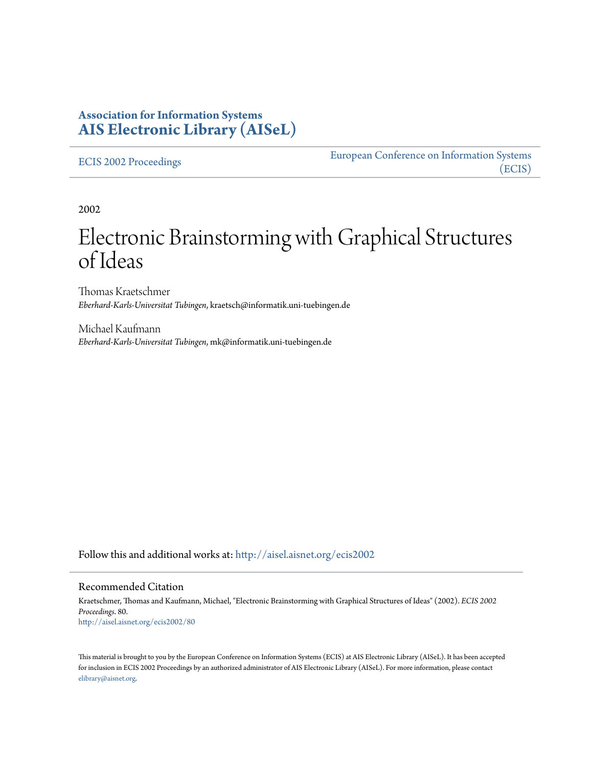# **Association for Information Systems [AIS Electronic Library \(AISeL\)](http://aisel.aisnet.org?utm_source=aisel.aisnet.org%2Fecis2002%2F80&utm_medium=PDF&utm_campaign=PDFCoverPages)**

#### [ECIS 2002 Proceedings](http://aisel.aisnet.org/ecis2002?utm_source=aisel.aisnet.org%2Fecis2002%2F80&utm_medium=PDF&utm_campaign=PDFCoverPages)

[European Conference on Information Systems](http://aisel.aisnet.org/ecis?utm_source=aisel.aisnet.org%2Fecis2002%2F80&utm_medium=PDF&utm_campaign=PDFCoverPages) [\(ECIS\)](http://aisel.aisnet.org/ecis?utm_source=aisel.aisnet.org%2Fecis2002%2F80&utm_medium=PDF&utm_campaign=PDFCoverPages)

2002

# Electronic Brainstorming with Graphical Structures of Ideas

Thomas Kraetschmer *Eberhard-Karls-Universitat Tubingen*, kraetsch@informatik.uni-tuebingen.de

Michael Kaufmann *Eberhard-Karls-Universitat Tubingen*, mk@informatik.uni-tuebingen.de

Follow this and additional works at: [http://aisel.aisnet.org/ecis2002](http://aisel.aisnet.org/ecis2002?utm_source=aisel.aisnet.org%2Fecis2002%2F80&utm_medium=PDF&utm_campaign=PDFCoverPages)

#### Recommended Citation

Kraetschmer, Thomas and Kaufmann, Michael, "Electronic Brainstorming with Graphical Structures of Ideas" (2002). *ECIS 2002 Proceedings*. 80. [http://aisel.aisnet.org/ecis2002/80](http://aisel.aisnet.org/ecis2002/80?utm_source=aisel.aisnet.org%2Fecis2002%2F80&utm_medium=PDF&utm_campaign=PDFCoverPages)

This material is brought to you by the European Conference on Information Systems (ECIS) at AIS Electronic Library (AISeL). It has been accepted for inclusion in ECIS 2002 Proceedings by an authorized administrator of AIS Electronic Library (AISeL). For more information, please contact [elibrary@aisnet.org.](mailto:elibrary@aisnet.org%3E)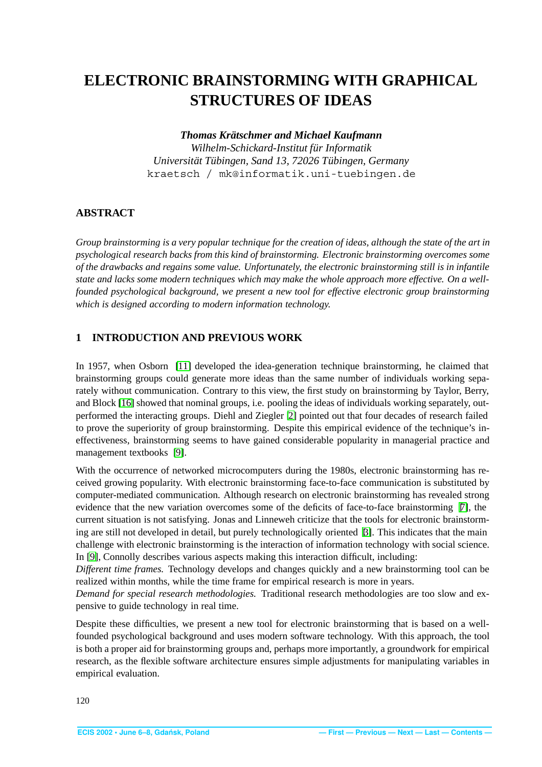# <span id="page-1-0"></span>**ELECTRONIC BRAINSTORMING WITH GRAPHICAL STRUCTURES OF IDEAS**

#### *Thomas Kratschmer and Michael Kaufmann ¨*

*Wilhelm-Schickard-Institut fur Informatik ¨ Universitat T ¨ ubingen, Sand 13, 72026 T ¨ ubingen, Germany ¨* kraetsch / mk@informatik.uni-tuebingen.de

# **ABSTRACT**

*Group brainstorming is a very popular technique for the creation of ideas, although the state of the art in psychological research backs from this kind of brainstorming. Electronic brainstorming overcomes some of the drawbacks and regains some value. Unfortunately, the electronic brainstorming still is in infantile state and lacks some modern techniques which may make the whole approach more effective. On a wellfounded psychological background, we present a new tool for effective electronic group brainstorming which is designed according to modern information technology.*

# **1 INTRODUCTION AND PREVIOUS WORK**

In 1957, when Osborn [\[11\]](#page-10-0) developed the idea-generation technique brainstorming, he claimed that brainstorming groups could generate more ideas than the same number of individuals working separately without communication. Contrary to this view, the first study on brainstorming by Taylor, Berry, and Block [\[16\]](#page-11-1) showed that nominal groups, i.e. pooling the ideas of individuals working separately, outperformed the interacting groups. Diehl and Ziegler [\[2\]](#page-10-1) pointed out that four decades of research failed to prove the superiority of group brainstorming. Despite this empirical evidence of the technique's ineffectiveness, brainstorming seems to have gained considerable popularity in managerial practice and management textbooks [\[9\]](#page-10-2).

With the occurrence of networked microcomputers during the 1980s, electronic brainstorming has received growing popularity. With electronic brainstorming face-to-face communication is substituted by computer-mediated communication. Although research on electronic brainstorming has revealed strong evidence that the new variation overcomes some of the deficits of face-to-face brainstorming  $[7]$ , the current situation is not satisfying. Jonas and Linneweh criticize that the tools for electronic brainstorming are still not developed in detail, but purely technologically oriented [\[3\]](#page-10-4). This indicates that the main challenge with electronic brainstorming is the interaction of information technology with social science. In [\[9\]](#page-10-2), Connolly describes various aspects making this interaction difficult, including:

*Different time frames.* Technology develops and changes quickly and a new brainstorming tool can be realized within months, while the time frame for empirical research is more in years.

*Demand for special research methodologies.* Traditional research methodologies are too slow and expensive to guide technology in real time.

Despite these difficulties, we present a new tool for electronic brainstorming that is based on a wellfounded psychological background and uses modern software technology. With this approach, the tool is both a proper aid for brainstorming groups and, perhaps more importantly, a groundwork for empirical research, as the flexible software architecture ensures simple adjustments for manipulating variables in empirical evaluation.

120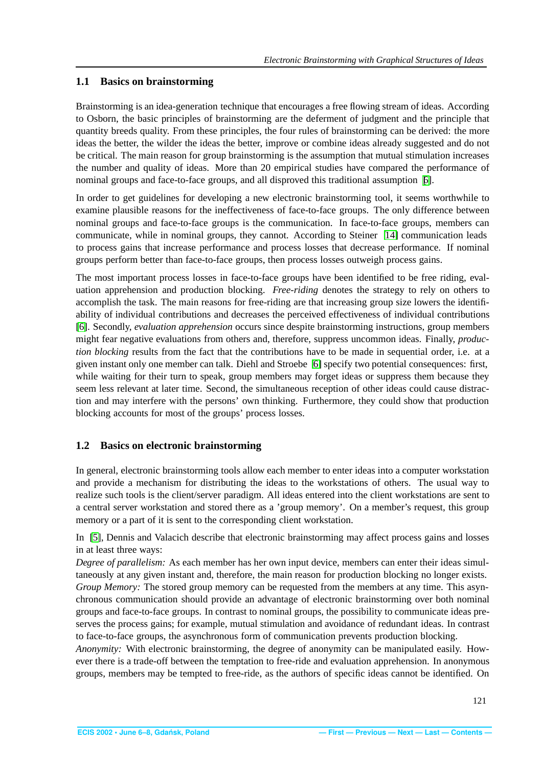#### <span id="page-2-0"></span>**1.1 Basics on brainstorming**

Brainstorming is an idea-generation technique that encourages a free flowing stream of ideas. According to Osborn, the basic principles of brainstorming are the deferment of judgment and the principle that quantity breeds quality. From these principles, the four rules of brainstorming can be derived: the more ideas the better, the wilder the ideas the better, improve or combine ideas already suggested and do not be critical. The main reason for group brainstorming is the assumption that mutual stimulation increases the number and quality of ideas. More than 20 empirical studies have compared the performance of nominal groups and face-to-face groups, and all disproved this traditional assumption [\[6\]](#page-10-5).

In order to get guidelines for developing a new electronic brainstorming tool, it seems worthwhile to examine plausible reasons for the ineffectiveness of face-to-face groups. The only difference between nominal groups and face-to-face groups is the communication. In face-to-face groups, members can communicate, while in nominal groups, they cannot. According to Steiner [\[14\]](#page-11-2) communication leads to process gains that increase performance and process losses that decrease performance. If nominal groups perform better than face-to-face groups, then process losses outweigh process gains.

The most important process losses in face-to-face groups have been identified to be free riding, evaluation apprehension and production blocking. *Free-riding* denotes the strategy to rely on others to accomplish the task. The main reasons for free-riding are that increasing group size lowers the identifiability of individual contributions and decreases the perceived effectiveness of individual contributions [\[6\]](#page-10-5). Secondly, *evaluation apprehension* occurs since despite brainstorming instructions, group members might fear negative evaluations from others and, therefore, suppress uncommon ideas. Finally, *production blocking* results from the fact that the contributions have to be made in sequential order, i.e. at a given instant only one member can talk. Diehl and Stroebe [\[6\]](#page-10-5) specify two potential consequences: first, while waiting for their turn to speak, group members may forget ideas or suppress them because they seem less relevant at later time. Second, the simultaneous reception of other ideas could cause distraction and may interfere with the persons' own thinking. Furthermore, they could show that production blocking accounts for most of the groups' process losses.

#### **1.2 Basics on electronic brainstorming**

In general, electronic brainstorming tools allow each member to enter ideas into a computer workstation and provide a mechanism for distributing the ideas to the workstations of others. The usual way to realize such tools is the client/server paradigm. All ideas entered into the client workstations are sent to a central server workstation and stored there as a 'group memory'. On a member's request, this group memory or a part of it is sent to the corresponding client workstation.

In [\[5\]](#page-10-6), Dennis and Valacich describe that electronic brainstorming may affect process gains and losses in at least three ways:

*Degree of parallelism:* As each member has her own input device, members can enter their ideas simultaneously at any given instant and, therefore, the main reason for production blocking no longer exists. *Group Memory:* The stored group memory can be requested from the members at any time. This asynchronous communication should provide an advantage of electronic brainstorming over both nominal groups and face-to-face groups. In contrast to nominal groups, the possibility to communicate ideas preserves the process gains; for example, mutual stimulation and avoidance of redundant ideas. In contrast to face-to-face groups, the asynchronous form of communication prevents production blocking.

*Anonymity:* With electronic brainstorming, the degree of anonymity can be manipulated easily. However there is a trade-off between the temptation to free-ride and evaluation apprehension. In anonymous groups, members may be tempted to free-ride, as the authors of specific ideas cannot be identified. On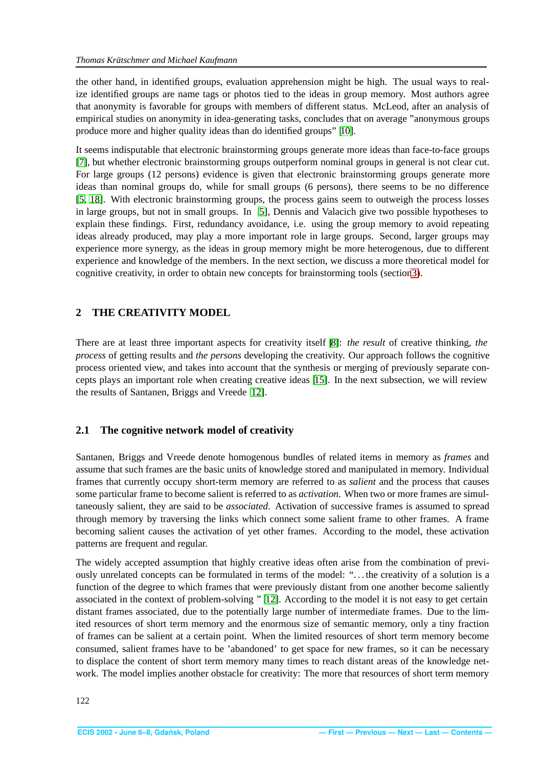<span id="page-3-0"></span>the other hand, in identified groups, evaluation apprehension might be high. The usual ways to realize identified groups are name tags or photos tied to the ideas in group memory. Most authors agree that anonymity is favorable for groups with members of different status. McLeod, after an analysis of empirical studies on anonymity in idea-generating tasks, concludes that on average "anonymous groups produce more and higher quality ideas than do identified groups" [\[10\]](#page-10-7).

It seems indisputable that electronic brainstorming groups generate more ideas than face-to-face groups [\[7\]](#page-10-3), but whether electronic brainstorming groups outperform nominal groups in general is not clear cut. For large groups (12 persons) evidence is given that electronic brainstorming groups generate more ideas than nominal groups do, while for small groups (6 persons), there seems to be no difference [\[5,](#page-10-6) [18\]](#page-11-3). With electronic brainstorming groups, the process gains seem to outweigh the process losses in large groups, but not in small groups. In [\[5\]](#page-10-6), Dennis and Valacich give two possible hypotheses to explain these findings. First, redundancy avoidance, i.e. using the group memory to avoid repeating ideas already produced, may play a more important role in large groups. Second, larger groups may experience more synergy, as the ideas in group memory might be more heterogenous, due to different experience and knowledge of the members. In the next section, we discuss a more theoretical model for cognitive creativity, in order to obtain new concepts for brainstorming tools (sectio[n3\)](#page-4-1).

# **2 THE CREATIVITY MODEL**

There are at least three important aspects for creativity itself [\[8\]](#page-10-8): *the result* of creative thinking, *the process* of getting results and *the persons* developing the creativity. Our approach follows the cognitive process oriented view, and takes into account that the synthesis or merging of previously separate concepts plays an important role when creating creative ideas [\[15\]](#page-11-4). In the next subsection, we will review the results of Santanen, Briggs and Vreede [\[12\]](#page-10-9).

#### **2.1 The cognitive network model of creativity**

Santanen, Briggs and Vreede denote homogenous bundles of related items in memory as *frames* and assume that such frames are the basic units of knowledge stored and manipulated in memory. Individual frames that currently occupy short-term memory are referred to as *salient* and the process that causes some particular frame to become salient is referred to as *activation*. When two or more frames are simultaneously salient, they are said to be *associated*. Activation of successive frames is assumed to spread through memory by traversing the links which connect some salient frame to other frames. A frame becoming salient causes the activation of yet other frames. According to the model, these activation patterns are frequent and regular.

The widely accepted assumption that highly creative ideas often arise from the combination of previously unrelated concepts can be formulated in terms of the model: ". . . the creativity of a solution is a function of the degree to which frames that were previously distant from one another become saliently associated in the context of problem-solving " [\[12\]](#page-10-9). According to the model it is not easy to get certain distant frames associated, due to the potentially large number of intermediate frames. Due to the limited resources of short term memory and the enormous size of semantic memory, only a tiny fraction of frames can be salient at a certain point. When the limited resources of short term memory become consumed, salient frames have to be 'abandoned' to get space for new frames, so it can be necessary to displace the content of short term memory many times to reach distant areas of the knowledge network. The model implies another obstacle for creativity: The more that resources of short term memory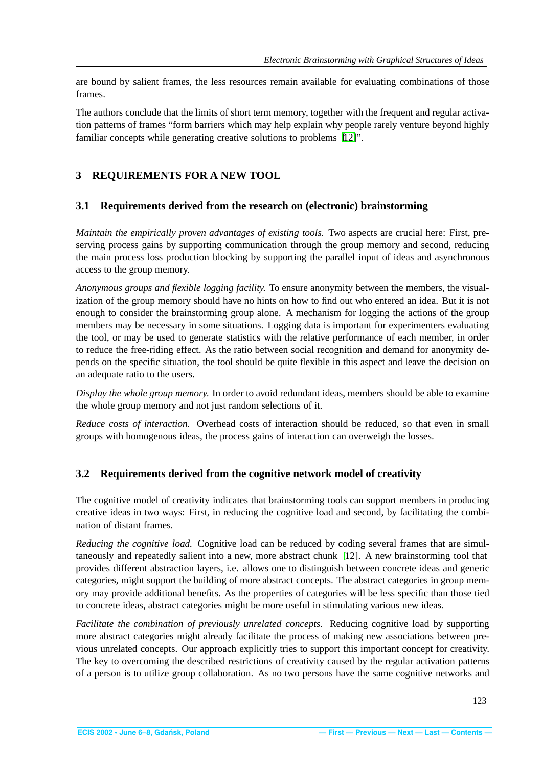<span id="page-4-0"></span>are bound by salient frames, the less resources remain available for evaluating combinations of those frames.

The authors conclude that the limits of short term memory, together with the frequent and regular activation patterns of frames "form barriers which may help explain why people rarely venture beyond highly familiar concepts while generating creative solutions to problems [\[12\]](#page-10-9)".

# <span id="page-4-1"></span>**3 REQUIREMENTS FOR A NEW TOOL**

#### **3.1 Requirements derived from the research on (electronic) brainstorming**

*Maintain the empirically proven advantages of existing tools.* Two aspects are crucial here: First, preserving process gains by supporting communication through the group memory and second, reducing the main process loss production blocking by supporting the parallel input of ideas and asynchronous access to the group memory.

*Anonymous groups and flexible logging facility.* To ensure anonymity between the members, the visualization of the group memory should have no hints on how to find out who entered an idea. But it is not enough to consider the brainstorming group alone. A mechanism for logging the actions of the group members may be necessary in some situations. Logging data is important for experimenters evaluating the tool, or may be used to generate statistics with the relative performance of each member, in order to reduce the free-riding effect. As the ratio between social recognition and demand for anonymity depends on the specific situation, the tool should be quite flexible in this aspect and leave the decision on an adequate ratio to the users.

*Display the whole group memory.* In order to avoid redundant ideas, members should be able to examine the whole group memory and not just random selections of it.

*Reduce costs of interaction.* Overhead costs of interaction should be reduced, so that even in small groups with homogenous ideas, the process gains of interaction can overweigh the losses.

# **3.2 Requirements derived from the cognitive network model of creativity**

The cognitive model of creativity indicates that brainstorming tools can support members in producing creative ideas in two ways: First, in reducing the cognitive load and second, by facilitating the combination of distant frames.

*Reducing the cognitive load.* Cognitive load can be reduced by coding several frames that are simultaneously and repeatedly salient into a new, more abstract chunk [\[12\]](#page-10-9). A new brainstorming tool that provides different abstraction layers, i.e. allows one to distinguish between concrete ideas and generic categories, might support the building of more abstract concepts. The abstract categories in group memory may provide additional benefits. As the properties of categories will be less specific than those tied to concrete ideas, abstract categories might be more useful in stimulating various new ideas.

*Facilitate the combination of previously unrelated concepts.* Reducing cognitive load by supporting more abstract categories might already facilitate the process of making new associations between previous unrelated concepts. Our approach explicitly tries to support this important concept for creativity. The key to overcoming the described restrictions of creativity caused by the regular activation patterns of a person is to utilize group collaboration. As no two persons have the same cognitive networks and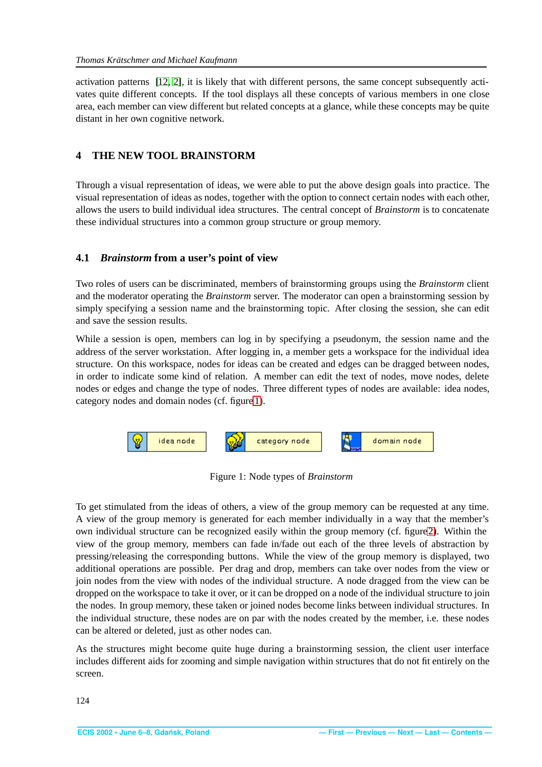<span id="page-5-0"></span>activation patterns [\[12,](#page-10-9) [2\]](#page-10-1), it is likely that with different persons, the same concept subsequently activates quite different concepts. If the tool displays all these concepts of various members in one close area, each member can view different but related concepts at a glance, while these concepts may be quite distant in her own cognitive network.

#### **4 THE NEW TOOL BRAINSTORM**

Through a visual representation of ideas, we were able to put the above design goals into practice. The visual representation of ideas as nodes, together with the option to connect certain nodes with each other, allows the users to build individual idea structures. The central concept of *Brainstorm* is to concatenate these individual structures into a common group structure or group memory.

#### **4.1** *Brainstorm* **from a user's point of view**

Two roles of users can be discriminated, members of brainstorming groups using the *Brainstorm* client and the moderator operating the *Brainstorm* server. The moderator can open a brainstorming session by simply specifying a session name and the brainstorming topic. After closing the session, she can edit and save the session results.

While a session is open, members can log in by specifying a pseudonym, the session name and the address of the server workstation. After logging in, a member gets a workspace for the individual idea structure. On this workspace, nodes for ideas can be created and edges can be dragged between nodes, in order to indicate some kind of relation. A member can edit the text of nodes, move nodes, delete nodes or edges and change the type of nodes. Three different types of nodes are available: idea nodes, category nodes and domain nodes (cf. figur[e 1\)](#page-5-1).



<span id="page-5-1"></span>Figure 1: Node types of *Brainstorm*

To get stimulated from the ideas of others, a view of the group memory can be requested at any time. A view of the group memory is generated for each member individually in a way that the member's own individual structure can be recognized easily within the group memory (cf. figur[e2\)](#page-6-1). Within the view of the group memory, members can fade in/fade out each of the three levels of abstraction by pressing/releasing the corresponding buttons. While the view of the group memory is displayed, two additional operations are possible. Per drag and drop, members can take over nodes from the view or join nodes from the view with nodes of the individual structure. A node dragged from the view can be dropped on the workspace to take it over, or it can be dropped on a node of the individual structure to join the nodes. In group memory, these taken or joined nodes become links between individual structures. In the individual structure, these nodes are on par with the nodes created by the member, i.e. these nodes can be altered or deleted, just as other nodes can.

As the structures might become quite huge during a brainstorming session, the client user interface includes different aids for zooming and simple navigation within structures that do not fit entirely on the screen.

124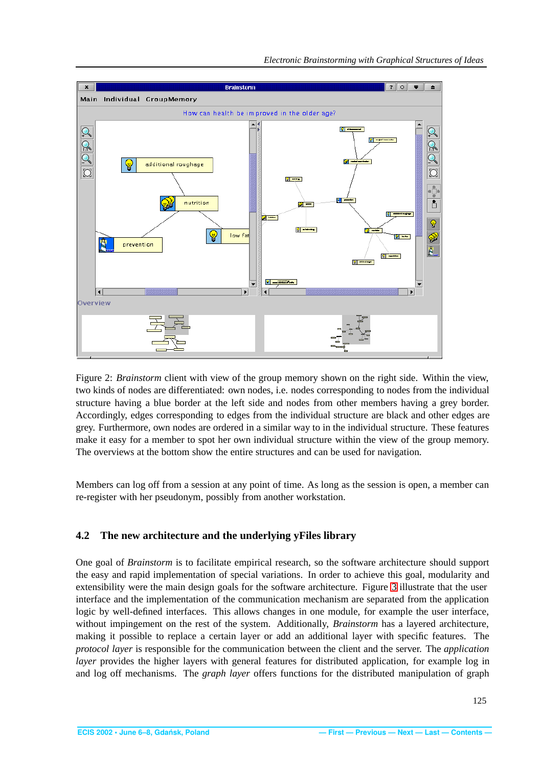<span id="page-6-0"></span>

<span id="page-6-1"></span>Figure 2: *Brainstorm* client with view of the group memory shown on the right side. Within the view, two kinds of nodes are differentiated: own nodes, i.e. nodes corresponding to nodes from the individual structure having a blue border at the left side and nodes from other members having a grey border. Accordingly, edges corresponding to edges from the individual structure are black and other edges are grey. Furthermore, own nodes are ordered in a similar way to in the individual structure. These features make it easy for a member to spot her own individual structure within the view of the group memory. The overviews at the bottom show the entire structures and can be used for navigation.

Members can log off from a session at any point of time. As long as the session is open, a member can re-register with her pseudonym, possibly from another workstation.

#### **4.2 The new architecture and the underlying yFiles library**

One goal of *Brainstorm* is to facilitate empirical research, so the software architecture should support the easy and rapid implementation of special variations. In order to achieve this goal, modularity and extensibility were the main design goals for the software architecture. Figure [3](#page-7-1) illustrate that the user interface and the implementation of the communication mechanism are separated from the application logic by well-defined interfaces. This allows changes in one module, for example the user interface, without impingement on the rest of the system. Additionally, *Brainstorm* has a layered architecture, making it possible to replace a certain layer or add an additional layer with specific features. The *protocol layer* is responsible for the communication between the client and the server. The *application layer* provides the higher layers with general features for distributed application, for example log in and log off mechanisms. The *graph layer* offers functions for the distributed manipulation of graph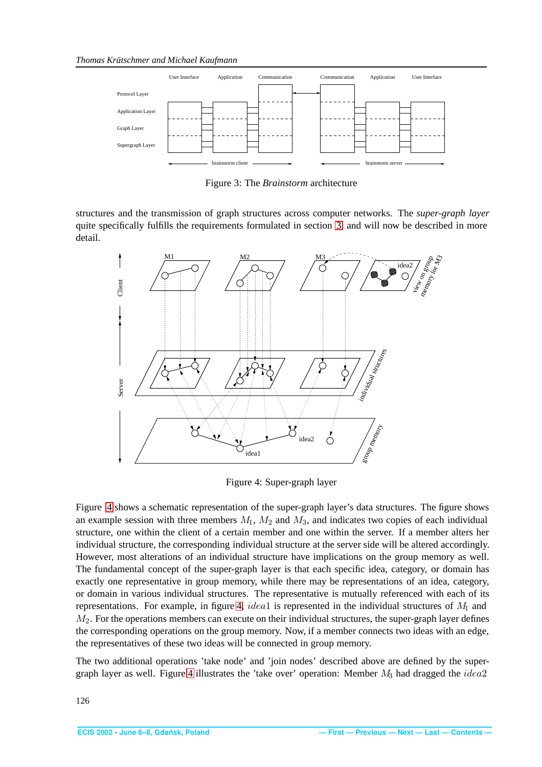<span id="page-7-0"></span>

<span id="page-7-1"></span>Figure 3: The *Brainstorm* architecture

structures and the transmission of graph structures across computer networks. The *super-graph layer* quite specifically fulfills the requirements formulated in section [3,](#page-4-1) and will now be described in more detail.



<span id="page-7-2"></span>Figure 4: Super-graph layer

Figure [4](#page-7-2) shows a schematic representation of the super-graph layer's data structures. The figure shows an example session with three members  $M_1$ ,  $M_2$  and  $M_3$ , and indicates two copies of each individual structure, one within the client of a certain member and one within the server. If a member alters her individual structure, the corresponding individual structure at the server side will be altered accordingly. However, most alterations of an individual structure have implications on the group memory as well. The fundamental concept of the super-graph layer is that each specific idea, category, or domain has exactly one representative in group memory, while there may be representations of an idea, category, or domain in various individual structures. The representative is mutually referenced with each of its representations. For example, in figure [4,](#page-7-2) idea1 is represented in the individual structures of  $M_1$  and  $M_2$ . For the operations members can execute on their individual structures, the super-graph layer defines the corresponding operations on the group memory. Now, if a member connects two ideas with an edge, the representatives of these two ideas will be connected in group memory.

The two additional operations 'take node' and 'join nodes' described above are defined by the super-graph layer as well. Figure [4](#page-7-2) illustrates the 'take over' operation: Member  $M_3$  had dragged the *idea*2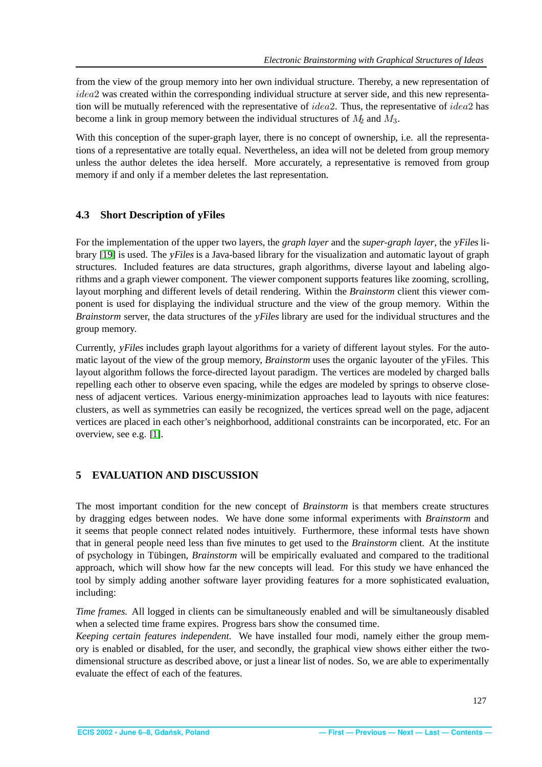<span id="page-8-0"></span>from the view of the group memory into her own individual structure. Thereby, a new representation of idea2 was created within the corresponding individual structure at server side, and this new representation will be mutually referenced with the representative of *idea*?. Thus, the representative of *idea*? has become a link in group memory between the individual structures of  $M_2$  and  $M_3$ .

With this conception of the super-graph layer, there is no concept of ownership, i.e. all the representations of a representative are totally equal. Nevertheless, an idea will not be deleted from group memory unless the author deletes the idea herself. More accurately, a representative is removed from group memory if and only if a member deletes the last representation.

#### **4.3 Short Description of yFiles**

For the implementation of the upper two layers, the *graph layer* and the *super-graph layer*, the yFiles library [\[19\]](#page-11-5) is used. The yFiles is a Java-based library for the visualization and automatic layout of graph structures. Included features are data structures, graph algorithms, diverse layout and labeling algorithms and a graph viewer component. The viewer component supports features like zooming, scrolling, layout morphing and different levels of detail rendering. Within the *Brainstorm* client this viewer component is used for displaying the individual structure and the view of the group memory. Within the *Brainstorm* server, the data structures of the yFiles library are used for the individual structures and the group memory.

Currently, yFiles includes graph layout algorithms for a variety of different layout styles. For the automatic layout of the view of the group memory, *Brainstorm* uses the organic layouter of the yFiles. This layout algorithm follows the force-directed layout paradigm. The vertices are modeled by charged balls repelling each other to observe even spacing, while the edges are modeled by springs to observe closeness of adjacent vertices. Various energy-minimization approaches lead to layouts with nice features: clusters, as well as symmetries can easily be recognized, the vertices spread well on the page, adjacent vertices are placed in each other's neighborhood, additional constraints can be incorporated, etc. For an overview, see e.g. [\[1\]](#page-10-10).

# **5 EVALUATION AND DISCUSSION**

The most important condition for the new concept of *Brainstorm* is that members create structures by dragging edges between nodes. We have done some informal experiments with *Brainstorm* and it seems that people connect related nodes intuitively. Furthermore, these informal tests have shown that in general people need less than five minutes to get used to the *Brainstorm* client. At the institute of psychology in Tübingen, *Brainstorm* will be empirically evaluated and compared to the traditional approach, which will show how far the new concepts will lead. For this study we have enhanced the tool by simply adding another software layer providing features for a more sophisticated evaluation, including:

*Time frames.* All logged in clients can be simultaneously enabled and will be simultaneously disabled when a selected time frame expires. Progress bars show the consumed time.

*Keeping certain features independent.* We have installed four modi, namely either the group memory is enabled or disabled, for the user, and secondly, the graphical view shows either either the twodimensional structure as described above, or just a linear list of nodes. So, we are able to experimentally evaluate the effect of each of the features.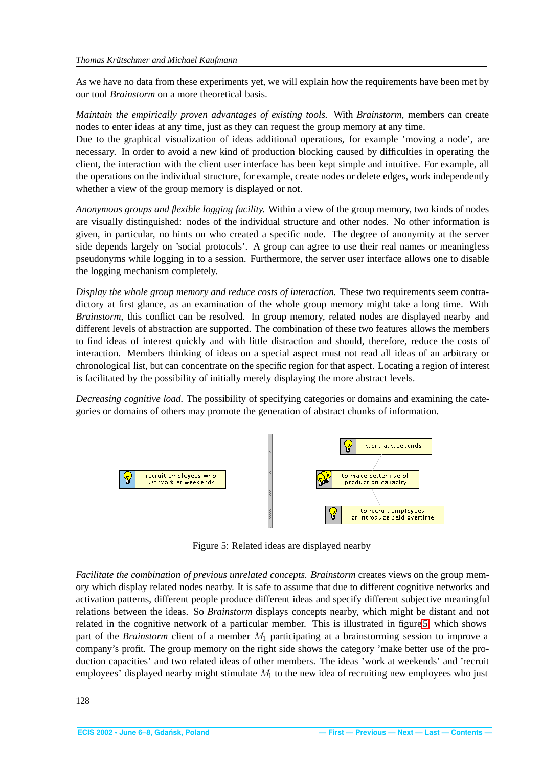<span id="page-9-0"></span>As we have no data from these experiments yet, we will explain how the requirements have been met by our tool *Brainstorm* on a more theoretical basis.

*Maintain the empirically proven advantages of existing tools.* With *Brainstorm*, members can create nodes to enter ideas at any time, just as they can request the group memory at any time.

Due to the graphical visualization of ideas additional operations, for example 'moving a node', are necessary. In order to avoid a new kind of production blocking caused by difficulties in operating the client, the interaction with the client user interface has been kept simple and intuitive. For example, all the operations on the individual structure, for example, create nodes or delete edges, work independently whether a view of the group memory is displayed or not.

*Anonymous groups and flexible logging facility.* Within a view of the group memory, two kinds of nodes are visually distinguished: nodes of the individual structure and other nodes. No other information is given, in particular, no hints on who created a specific node. The degree of anonymity at the server side depends largely on 'social protocols'. A group can agree to use their real names or meaningless pseudonyms while logging in to a session. Furthermore, the server user interface allows one to disable the logging mechanism completely.

*Display the whole group memory and reduce costs of interaction.* These two requirements seem contradictory at first glance, as an examination of the whole group memory might take a long time. With *Brainstorm*, this conflict can be resolved. In group memory, related nodes are displayed nearby and different levels of abstraction are supported. The combination of these two features allows the members to find ideas of interest quickly and with little distraction and should, therefore, reduce the costs of interaction. Members thinking of ideas on a special aspect must not read all ideas of an arbitrary or chronological list, but can concentrate on the specific region for that aspect. Locating a region of interest is facilitated by the possibility of initially merely displaying the more abstract levels.

*Decreasing cognitive load.* The possibility of specifying categories or domains and examining the categories or domains of others may promote the generation of abstract chunks of information.



<span id="page-9-1"></span>Figure 5: Related ideas are displayed nearby

*Facilitate the combination of previous unrelated concepts. Brainstorm* creates views on the group memory which display related nodes nearby. It is safe to assume that due to different cognitive networks and activation patterns, different people produce different ideas and specify different subjective meaningful relations between the ideas. So *Brainstorm* displays concepts nearby, which might be distant and not related in the cognitive network of a particular member. This is illustrated in figure [5,](#page-9-1) which shows part of the *Brainstorm* client of a member  $M_1$  participating at a brainstorming session to improve a company's profit. The group memory on the right side shows the category 'make better use of the production capacities' and two related ideas of other members. The ideas 'work at weekends' and 'recruit employees' displayed nearby might stimulate  $M<sub>1</sub>$  to the new idea of recruiting new employees who just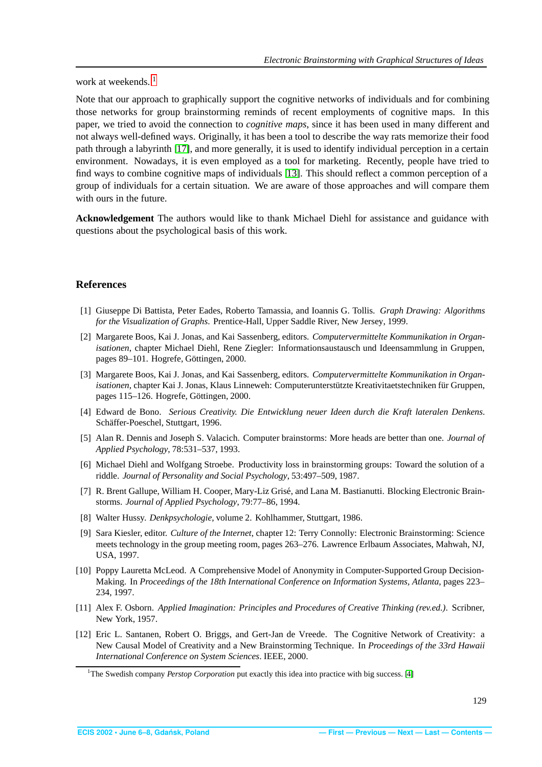<span id="page-10-11"></span>work at weekends.<sup>[1](#page-10-12)</sup>

Note that our approach to graphically support the cognitive networks of individuals and for combining those networks for group brainstorming reminds of recent employments of cognitive maps. In this paper, we tried to avoid the connection to *cognitive maps*, since it has been used in many different and not always well-defined ways. Originally, it has been a tool to describe the way rats memorize their food path through a labyrinth [\[17\]](#page-11-6), and more generally, it is used to identify individual perception in a certain environment. Nowadays, it is even employed as a tool for marketing. Recently, people have tried to find ways to combine cognitive maps of individuals [\[13\]](#page-11-7). This should reflect a common perception of a group of individuals for a certain situation. We are aware of those approaches and will compare them with ours in the future.

**Acknowledgement** The authors would like to thank Michael Diehl for assistance and guidance with questions about the psychological basis of this work.

#### <span id="page-10-10"></span>**References**

- [1] Giuseppe Di Battista, Peter Eades, Roberto Tamassia, and Ioannis G. Tollis. *Graph Drawing: Algorithms for the Visualization of Graphs*. Prentice-Hall, Upper Saddle River, New Jersey, 1999.
- <span id="page-10-1"></span>[2] Margarete Boos, Kai J. Jonas, and Kai Sassenberg, editors. *Computervermittelte Kommunikation in Organisationen*, chapter Michael Diehl, Rene Ziegler: Informationsaustausch und Ideensammlung in Gruppen, pages 89–101. Hogrefe, Göttingen, 2000.
- <span id="page-10-4"></span>[3] Margarete Boos, Kai J. Jonas, and Kai Sassenberg, editors. *Computervermittelte Kommunikation in Organisationen*, chapter Kai J. Jonas, Klaus Linneweh: Computerunterstützte Kreativitaetstechniken für Gruppen, pages 115–126. Hogrefe, Göttingen, 2000.
- <span id="page-10-13"></span>[4] Edward de Bono. *Serious Creativity. Die Entwicklung neuer Ideen durch die Kraft lateralen Denkens*. Schäffer-Poeschel, Stuttgart, 1996.
- <span id="page-10-6"></span>[5] Alan R. Dennis and Joseph S. Valacich. Computer brainstorms: More heads are better than one. *Journal of Applied Psychology*, 78:531–537, 1993.
- <span id="page-10-5"></span>[6] Michael Diehl and Wolfgang Stroebe. Productivity loss in brainstorming groups: Toward the solution of a riddle. *Journal of Personality and Social Psychology*, 53:497–509, 1987.
- <span id="page-10-3"></span>[7] R. Brent Gallupe, William H. Cooper, Mary-Liz Grisé, and Lana M. Bastianutti. Blocking Electronic Brainstorms. *Journal of Applied Psychology*, 79:77–86, 1994.
- <span id="page-10-8"></span><span id="page-10-2"></span>[8] Walter Hussy. *Denkpsychologie*, volume 2. Kohlhammer, Stuttgart, 1986.
- [9] Sara Kiesler, editor. *Culture of the Internet*, chapter 12: Terry Connolly: Electronic Brainstorming: Science meets technology in the group meeting room, pages 263–276. Lawrence Erlbaum Associates, Mahwah, NJ, USA, 1997.
- <span id="page-10-7"></span>[10] Poppy Lauretta McLeod. A Comprehensive Model of Anonymity in Computer-Supported Group Decision-Making. In *Proceedings of the 18th International Conference on Information Systems, Atlanta*, pages 223– 234, 1997.
- <span id="page-10-0"></span>[11] Alex F. Osborn. *Applied Imagination: Principles and Procedures of Creative Thinking (rev.ed.)*. Scribner, New York, 1957.
- <span id="page-10-9"></span>[12] Eric L. Santanen, Robert O. Briggs, and Gert-Jan de Vreede. The Cognitive Network of Creativity: a New Causal Model of Creativity and a New Brainstorming Technique. In *Proceedings of the 33rd Hawaii International Conference on System Sciences*. IEEE, 2000.

<span id="page-10-12"></span><sup>&</sup>lt;sup>1</sup>The Swedish company *Perstop Corporation* put exactly this idea into practice with big success. [\[4\]](#page-10-13)